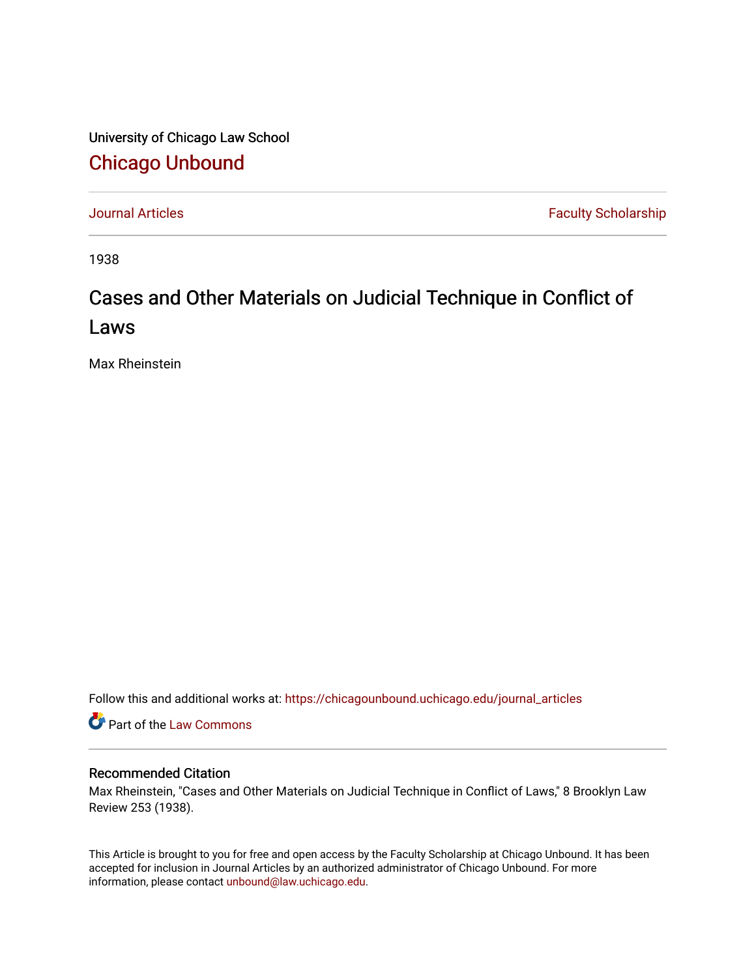University of Chicago Law School [Chicago Unbound](https://chicagounbound.uchicago.edu/)

[Journal Articles](https://chicagounbound.uchicago.edu/journal_articles) **Faculty Scholarship Faculty Scholarship** 

1938

## Cases and Other Materials on Judicial Technique in Conflict of Laws

Max Rheinstein

Follow this and additional works at: [https://chicagounbound.uchicago.edu/journal\\_articles](https://chicagounbound.uchicago.edu/journal_articles?utm_source=chicagounbound.uchicago.edu%2Fjournal_articles%2F8990&utm_medium=PDF&utm_campaign=PDFCoverPages) 

Part of the [Law Commons](http://network.bepress.com/hgg/discipline/578?utm_source=chicagounbound.uchicago.edu%2Fjournal_articles%2F8990&utm_medium=PDF&utm_campaign=PDFCoverPages)

## Recommended Citation

Max Rheinstein, "Cases and Other Materials on Judicial Technique in Conflict of Laws," 8 Brooklyn Law Review 253 (1938).

This Article is brought to you for free and open access by the Faculty Scholarship at Chicago Unbound. It has been accepted for inclusion in Journal Articles by an authorized administrator of Chicago Unbound. For more information, please contact [unbound@law.uchicago.edu](mailto:unbound@law.uchicago.edu).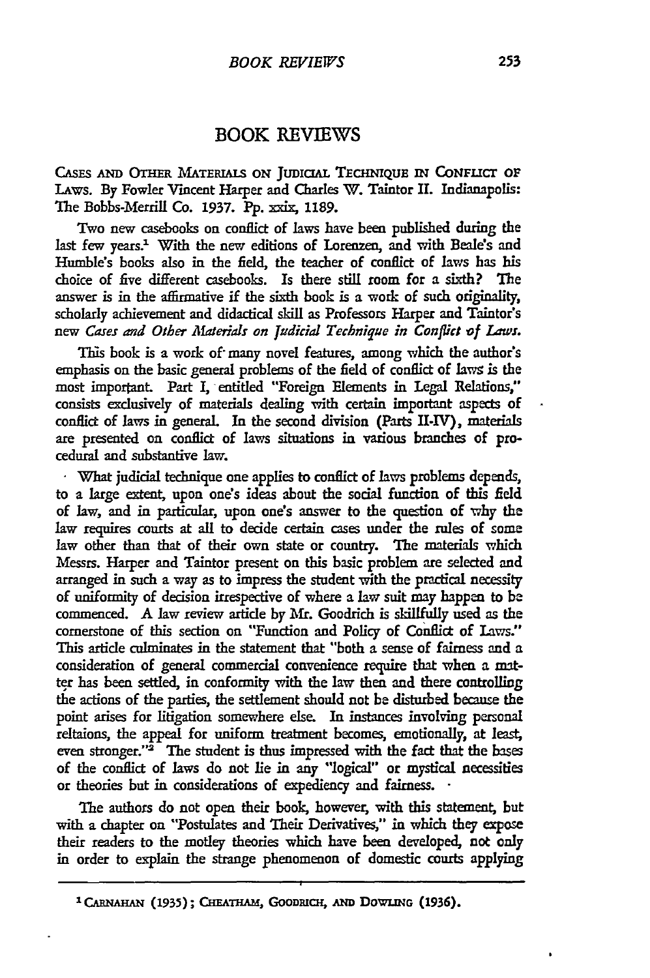## BOOK REVIEWS

**CASES** *AND* OTHER **MATERIALS ON JuDIaAL TECHNIqUE iN CONFzicr OF** LAws. By Fowler Vincent Harper and Charles W. Taintor If. Indianapolis: The Bobbs-Merrill Co. **1937. Pp.** xxix, **1189.**

Two new casebooks on conflict of laws have been published during the last few years.<sup>1</sup> With the new editions of Lorenzen, and with Beale's and Humble's books also in the field, the teacher of conflict of laws has his choice of five different casebooks. Is there still room for a sixth? The answer is in the affirmative if the sixth book is a work of such originality, scholarly achievement and didactical skill as Professors Harper and Taintor's *new Cases and Other Afaterials on Judicial Technique in Conflict of Laws.*

This book is a work of many novel features, among which the author's emphasis on the basic general problems of the field of conflict of lawg is the most imporant Part I, entitled "Foreign Elements in **Legal** Relations," consists exclusively of materials dealing with certain important aspects of conflict of laws in general. In the second division (Parts II-IV), materials are presented on conflict of laws situations in various branches of procedural and substantive law.

**.** What judicial technique one applies to conflict of laws problems depends, to a large extent, upon one's ideas about the social function of this field of law, and in particular, upon one's answer to the question of why the law requires courts at all to decide certain cases under the rules of some law other than that of their own state or country. The materials which Messrs. Harper and Taintor present on this basic problem are selected and arranged in such a way as **to** impress the student with the practical necessity of uniformity of decision irrespective of where a law suit may happen to be commenced. A law review artide by Mr. Goodrich is skillfully used as the cornerstone of this section on "Function and Policy of Conflict of Laws:' This article culminates in the statement that "both a sense of fairness and a consideration of general commercial convenience require that when a mat**ter** has been settled, in conformity with the law then and there controlling the actions of the parties, the settlement should not be disturbed because the point arises for litigation somewhere else. In instances involving personal reltaions, the appeal for uniform treatment becomes, emotionally, at least, even stronger." $2^{\frac{1}{2}}$  The student is thus impressed with the fact that the bases of the conflict of laws do not lie in any "logical" or mystical necessities or theories but in considerations of expediency and fairness. •

The authors do not open their book, however, with this statement, but with a chapter on "Postulates and Their Derivatives," in which they expose their readers to the motley theories which have been developed, not only in order to explain the strange phenomenon of domestic courts applying

<sup>&</sup>lt;sup>1</sup> CARNAHAN (1935); CHEATHAM, GOODRICH, AND DOWLING (1936).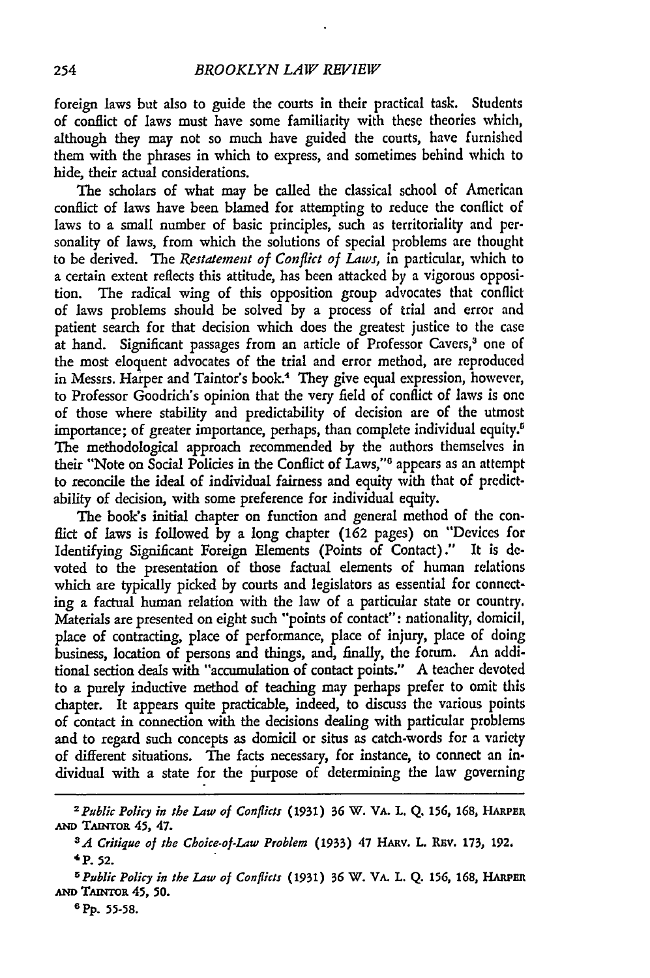foreign laws but also to guide the courts in their practical task. Students of conflict of laws must have some familiarity with these theories which, although they may not so much have guided the courts, have furnished them with the phrases in which to express, and sometimes behind which to hide, their actual considerations.

The scholars of what may be called the classical school of American conflict of laws have been blamed for attempting to reduce the conflict of laws to a small number of basic principles, such as territoriality and personality of laws, from which the solutions of special problems are thought to be derived. The *Restatement of Conflict of Laws,* in particular, which to a certain extent reflects this attitude, has been attacked by a vigorous opposition. The radical wing of this opposition group advocates that conflict of laws problems should be solved by a process of trial and error and patient search for that decision which does the greatest justice to the case at hand. Significant passages from an article of Professor Cavers,<sup>3</sup> one of the most eloquent advocates of the trial and error method, are reproduced in Messrs. Harper and Taintor's book.<sup>4</sup> They give equal expression, however, to Professor Goodrich's opinion that the very field of conflict of laws is one of those where stability and predictability of decision are of the utmost importance; of greater importance, perhaps, than complete individual equity.<sup>5</sup> The methodological approach recommended by the authors themselves in their "Note on Social Policies in the Conflict of Laws,"" appears as an attempt to reconcile the ideal of individual fairness and equity with that of predictability of decision, with some preference for individual equity.

The book's initial chapter on function and general method of the conflict of laws is followed by a long chapter (162 pages) on "Devices for Identifying Significant Foreign Elements (Points of Contact)." It is devoted to the presentation of those factual elements of human relations which are typically picked by courts and legislators as essential for connecting a factual human relation with the law of a particular state or country. Materials are presented on eight such "points of contact": nationality, domicil, place of contracting, place of performance, place of injury, place of doing business, location of persons and things, and, finally, the forum. An additional section deals with "accumulation of contact points." A teacher devoted to a purely inductive method of teaching may perhaps prefer to omit this chapter. It appears quite practicable, indeed, to discuss the various points of contact in connection with the decisions dealing with particular problems and to regard such concepts as domicil or situs as catch-words for a variety of different situations. The facts necessary, for instance, to connect an individual with a state for the purpose of determining the law governing

*<sup>2</sup> Public Policy in the Law of Conflicts* **(1931) 36** W. VA. **L. Q.** 156, 168, HARPRn *AND* TAiNroa 45, 47.

<sup>&</sup>lt;sup>3</sup> *A Critique of the Choice-of-Law Problem* (1933) 47 HARV. L. REV. 173, 192. 4P. *52.*

*<sup>5</sup>Public Policy in the Law of Conflicts* (1931) **36** W. VA. L. **Q.** *156,* **168,** HAIPER **AND TAMTOR** 45, **50.**

**<sup>6</sup> Pp.** 55-58.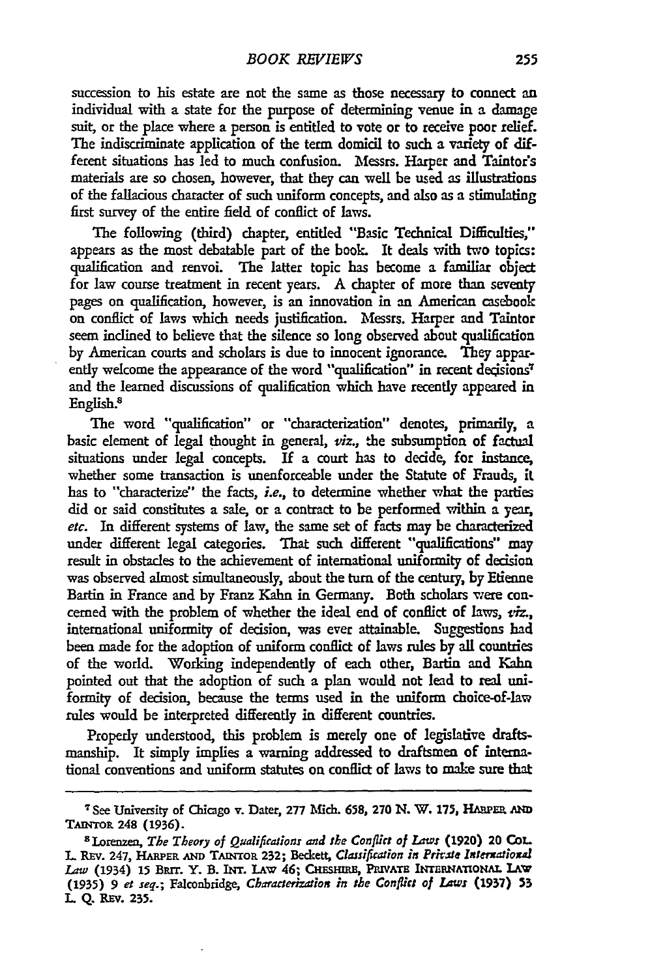succession to his estate are not the same as those necessary to connect an individual with a state for the purpose of determining venue in a damage suit, or the place where a person is entitled to vote or to receive poor relief. The indiscriminate application of the term domicil to such a variety of different situations has led to much confusion. Messrs. Harper and Taintor's materials are so chosen, however, that they can well be used as illustrations of the fallacious character of such uniform concepts, and also as a stimulating first survey of the entire field of conflict of laws.

The following (third) chapter, entitled "Basic Technical Difficulties," appears as the most debatable part of the book. It deals with two topics: qualification and renvoi. The latter topic has become a familiar object for law course treatment in recent years. A chapter of more **than** seventy pages on qualification, however, is an innovation in an American casebook on conflict of laws which needs justification. Messrs. Harper and Taintor seem inclined to believe that the silence so long observed about qualification by American courts and scholars is due to innocent ignorance. They apparently welcome the appearance of the word "qualification" in recent decisions<sup>7</sup> and the learned discussions of qualification which have recently appeared in English.<sup>8</sup>

The word "qualification" or "characterization" denotes, primarily, a basic element of legal thought in general, *viz.,* the subsumption of factual situations under legal concepts. If a court has to decide, for instance, whether some transaction is unenforceable under the Statute of Frauds, it has to "characterize" the facts, *i.e.,* to determine whether what the parties did or said constitutes a sale, or a contract to be performed within a year, etc. In different systems of law, the same set of facts may be characterized under different legal categories. That such different "qualifications" may result in obstacles to the achievement of intemational uniformity of decision was observed almost simultaneously, about the turn of the century. by Etienne Bartin in France and **by** Franz Kahn in Germany. Both scholars were concerned with the problem of whether the ideal end of conflict of laws, *tiz.,* international uniformity of decision, was ever attainable. Suggestions had been made for the adoption of uniform conflict of laws rules by all countries of the world. Working independently of each other, Bartin and Kahn pointed out that the adoption of such a plan would not lead to real uniformity of decision, because the terms used in the uniform choice-of-law rules would be interpreted differently in different countries.

Properly understood, this problem is merely one of legislative draftsmanship. It simply implies a warning addressed to draftsmen of intena. tional conventions and uniform statutes on conflict of laws to make sure that

**<sup>7</sup>**See University of Chicago v. Dater, **277** Mich. **658, 270 N.** W. **175, HAUER AmN** TAINTOR 248 (1936).

**<sup>8</sup>**Lorenzen, *The Theory of Qualifications and the Conflict of Laws* **(1920)** 20 CoL. L REv. 247, **HARPER AND TMNTOR 232;** Beckett, *Classification in Private Intemaioxal Law* (1934) 15 BRIT. Y. B. INT. LAW 46; CHESHIRE, PRIVATE INTERNATIONAL LAW (1935) 9 et *seq.; Falconbridge, Characterization in the Conflict of laws* **(1937) 53** L **Q.** REv. 235.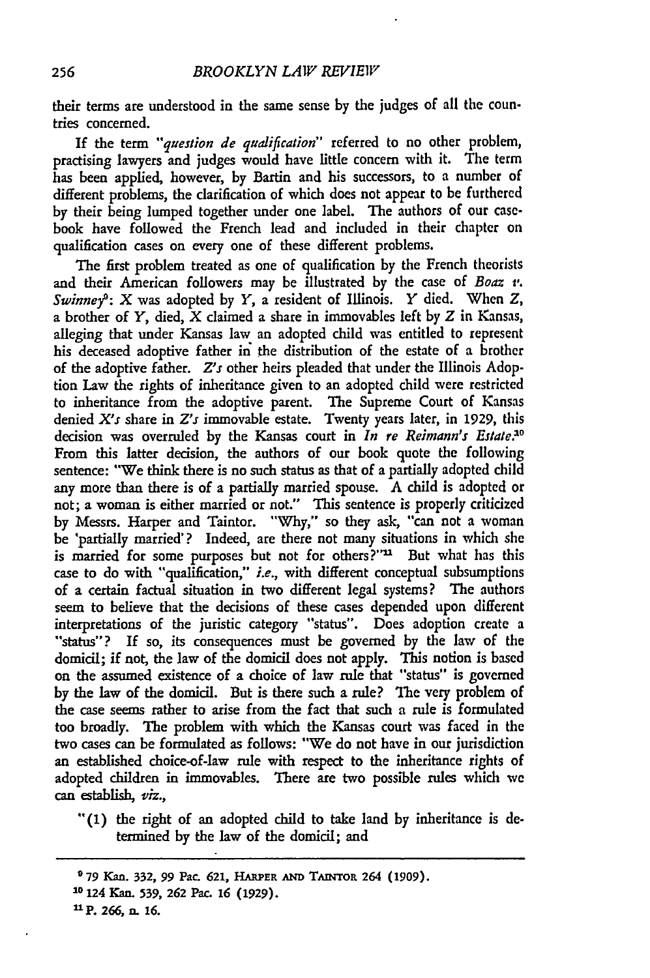their terms are understood in the same sense by the judges of all the countries concerned.

If the term *"question de qualification"* referred to no other problem, practising lawyers and judges would have little concern with it. The term has been applied, however, by Bartin and his successors, to a number of different problems, the clarification of which does not appear to be furthered by their being lumped together under one label. The authors of our casebook have followed the French lead and included in their chapter on qualification cases on every one of these different problems.

The first problem treated as one of qualification by the French theorists and their American followers may be illustrated by the case of *Boaz v. Swinney: X* was adopted by *Y,* a resident of Illinois. *Y* died. When *Z,* a brother of Y, died, X claimed a share in immovables left by *Z* in Kansas, alleging that under Kansas law an adopted child was entitled to represent his deceased adoptive father in the distribution of the estate of a brother of the adoptive father. *Z's* other heirs pleaded that under the Illinois Adoption Law the rights of inheritance given to an adopted child were restricted to inheritance from the adoptive parent. The Supreme Court of Kansas denied *X's* share in *Z's* immovable estate. Twenty years later, in 1929, this decision was overruled by the Kansas court in *In re Reimann's Estate*.<sup>10</sup> From this latter decision, the authors of our book quote the following sentence: "We think there is no such status as that of a partially adopted child any more than there is of a partially married spouse. A child is adopted or not; a woman is either married or not." This sentence is properly criticized by Messrs. Harper and Taintor. "Why," so they ask, "can not a woman be 'partially married'? Indeed, are there not many situations in which she is married for some purposes but not for others?"<sup>11</sup> But what has this case to do with "qualification," *i.e.,* with different conceptual subsumptions of a certain factual situation in two different legal systems? The authors seem to believe that the decisions of these cases depended upon different interpretations of the juristic category "status". Does adoption create a "status"? If **so,** its consequences must be governed by the law of the domicil; if not, the law of the domicil does not apply. This notion is based on the assumed existence of a choice of law rule that "status" is governed by the law of the domicil. But is there such a rule? The very problem of the case seems rather to arise from the fact that such a rule is formulated too broadly. The problem with which the Kansas court was faced in the two cases can be formulated as follows: "We do not have in our jurisdiction an established choice-of-law rule with respect to the inheritance rights of adopted children in immovables. There are two possible rules which we can establish, *viz.,*

"(1) the right of an adopted child to take land by inheritance is determined by the law of the domicil; and

**<sup>979</sup> Kan. 332, 99 Pac. 621, HARPER AND TAiNTOR 264 (1909). <sup>10</sup>124 Kam. 539, 262 Pac. 16 (1929). "P. 266,** n. **16.**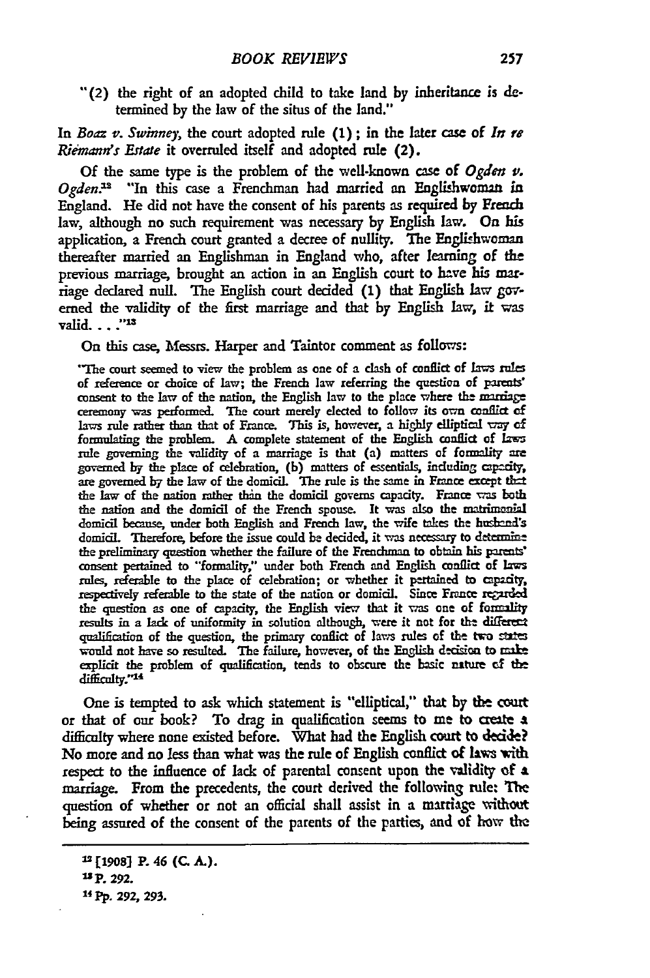**-(2)** the right of an adopted child to take land **by** inheritance is **de**termined **by** the law of the situs of the land."

*In Boaz v. Swinney,* the court adopted rule **(1) ;** in the later case of *In re Riemann's Estate* it overruled itself and adopted rule (2).

**Of** the same type is the problem of the well-known case of *Ogden v. Ogden.s* **"In** this case a Frenchman had married an Englishwoman in England. He did not have the consent of his parents as required by French law, although no such requirement was necessary **by** English law. On his application, a French court granted a decree of nullity. The Englishwoman thereafter married an Englishman in England who, after learning of the previous marriage, brought an action in an English court to have his marriage declared null. The English court decided (1) that English law **gov**erned the validity of the first marriage and that **by** English **law,** it was valid. $\ldots$ ."13

On this case, Messrs. Harper and Taintor comment as follows:

\*The court seemed to view the problem as one of a clash of conflict **of** laws **rual** of reference or choice of law; the French law referring the question **of** parens consent to the law of the nation, the English law to the place where the marage ceremony was performed. The court merely elected to follow its own conflict **of** laws rule rather than that of France. This is, however, a highly elliptical way of formulating the problem. A complete statement of the English conflict **of** Jams rule governing the validity **of** a marriage is that (a) matters of formality are governed by the place of celebration, (b) matters of essentials, including capacity, are governed by the law of the domicil. The rule is the same in France except that the law of the nation rather than the domicil governs capacity. France was both the nation and the **domicil** of the French spouse. It **was** also the atrimonial domicil because, under both English and French law, the wife takes the husband's domicil. Therefore, before the issue could be decided, it was necessary to determine the preliminary question whether the failure of the Frenchman to obtain his parents' consent pertained to "formality," under both French and English conflict **of** las rules, referable **to** the place of celebration; or whether it pertained to capacity, respectively referable to the state of the nation or domicil. Since France regarded the question as one of capacity, the English view that it was one of formality results in a lack of uniformity in solution although, were it not for the differect qualification of the question, the primary conflict **of** laws rules **of** the two **sW=** would not have so resulted. The failure, however, of the English d-cision to milt explicit the problem **of** qualification, tends to obscure the basic nature **of the** difficulty."<sup>14</sup>

One is tempted to ask which statement is "elliptical," that **by** the. court or that of **our** book? To drag in qualiflication seems to me to create **a** difficulty where none **existed** before. What had the English court to **decide?** No more and no less than what was the rule of English conflict of laws with respect to the influence of lack of parental consent upon the validity **of a** marriage. From the precedents, the court derived the following rule. The question of whether or not an official shall assist in a marriage without being assured of the consent of the parents of the parties, **and of how** the

<sup>1</sup> **[19o8** P. 46 **(C.** *A.).*

*<sup>&#</sup>x27;sP.* **292.**

<sup>14</sup> Pp. **292, 293.**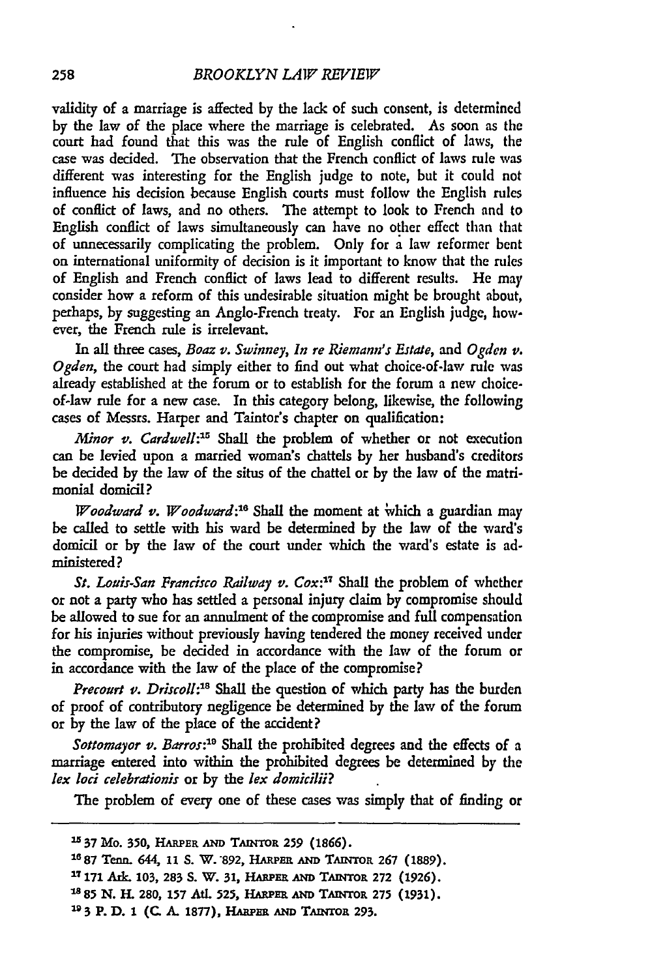validity of a marriage is affected by the lack of such consent, is determined by the law of the place where the marriage is celebrated. As soon as the court had found that this was the rule of English conflict of laws, the case was decided. The observation that the French conflict of laws rule was different was interesting for the English judge to note, but it could not influence his decision because English courts must follow the English rules of conflict of laws, and no others. The attempt to look to French and to English conflict of laws simultaneously can have no other effect than that of unnecessarily complicating the problem. Only for a law reformer bent on international uniformity of decision is it important to know that the rules of English and French conflict of laws lead to different results. He may consider how a reform of this undesirable situation might be brought about, perhaps, **by** suggesting an Anglo-French treaty. For an English judge, however, the French rule is irrelevant.

In all three cases, *Boaz v. Swinney, In re Riemann's Estate, and Ogden v. Ogden,* the court had simply either to find out what choice-of-law rule was already established at the forum or to establish for the forum a new choiceof-law rule for a new case. In this category belong, likewise, the following cases of Messrs. Harper and Taintor's chapter on qualification:

*Minor v. Cardwell:15* Shall the problem of whether or not execution can be levied upon a married woman's chattels **by** her husband's creditors be decided by the law of the situs of the chattel or by the law of the matrimonial domicil?

*Woodward v. Woodward*:<sup>16</sup> Shall the moment at which a guardian may be called to settle with his ward be determined **by** the law of the ward's domicil or **by** the law of the court under which the ward's estate is administered?

*St. Louis-San Francisco Railway v. Cox:17* Shall the problem of whether or not a party who has settled a personal injury daim **by** compromise should be allowed to sue for an annulment of the compromise and full compensation for his injuries without previously having tendered the money received under the compromise, be decided in accordance with the law of the forum or in accordance with the law of the place of the compromise?

*Precourt v. Driscoll:8* Shall the question of which party has the burden of proof of contributory negligence be determined **by** the law of the forum or **by** the law of the place of the accident?

*Sottomayor v. Barros:19* Shall the prohibited degrees and the effects of a marriage entered into within the prohibited degrees be determined by the *lex loci celebrationis* or **by** the *lex domiciii?*

The problem of every one of these cases was simply that of finding or

<sup>15</sup> 37 Mo. 350, HARPER AND TAINTOR 259 (1866). **1687 Tem.** 644, **11 S.** W. 892, **HARPER AND** TmArOR **267** (1889). **<sup>17</sup>171 Ak. 103, 283 S.** W. 31, HARPER **Am** TANTOR **272 (1926). 1885 N. . 280, 157 At. 525,** HARPER **AND TAWINOR 275 (1931). ' <sup>2</sup> 3 P. D. 1 (C A. 1877), HARPER AND TArNTOR 293.**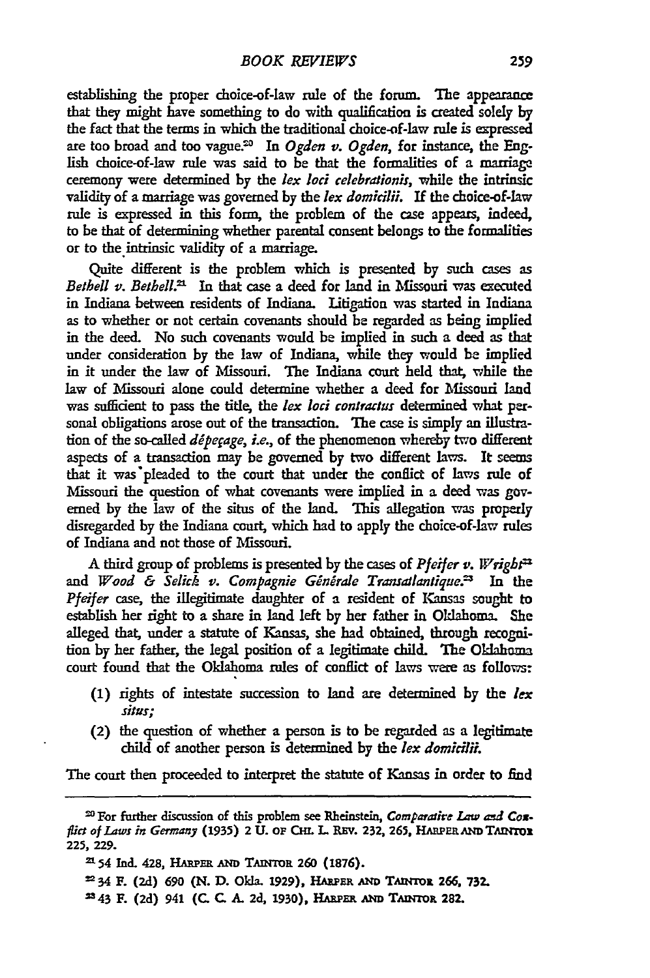establishing the proper choice-of-law rule of the forum. The appearance that they might have something to do with qualification is created solely **by** the fact that the terms in which the traditional choice-of-law **rule** is expressed are too broad and too vague.<sup>20</sup> In *Ogden v. Ogden*, for instance, the English choice-of-law rule was said to be that the formalities of a marriage ceremony were determined **by** the *lex loci celebrationis,* while the intrinsic validity of a marriage was governed **by** the *lex domicili.* If the choice-of-law rule is expressed in this form, the problem of the case appears, indeed, to be that of determining whether parental consent belongs to the formalities or to the intrinsic validity of a marriage.

Quite different is the problem which is presented **by** such cases as *Bethell v. Bethell*.<sup>21</sup> In that case a deed for land in Missouri was executed in Indiana between residents of Indiana. Litigation was started in Indiana as to whether or not certain covenants should be regarded as being implied in the deed. No such covenants would be implied in such **a** deed as that under consideration by the law of Indiana, while they would be implied in it under the law of Missouri. The Indiana court held **that,** while the law of Missouri alone could determine whether a deed for Missouri land was suffident to pass the title, the *lex loci* contractus determined what personal obligations arose out of the transaction. The case is simply an ilustration of the so-called *dipefage, i.e.,* of the phenomenon whereby **two** different aspects of a transaction may be governed **by** two different laws. It **seems** that it was pleaded to the court that under the conflict of laws rule of Missouri the question of what covenants were implied in a deed was govemed **by** the law of the situs of the land. **This** allegation **vas** properly disregarded **by** the Indiana court, which had to apply the choice-of-law rules of Indiana and not those of Missouri.

A third group of problems is presented **by** the cases of *Pleifer v.* Wright and *Wood & Selick v. Compagnie Générale Transallantique*.<sup>23</sup> In the Pfeifer case, the illegitimate daughter of a resident of Kansas sought to establish her right to a share in land left **by** her father in Oklahoma. **She** alleged **that,** under a statute of Kansas, she had obtained, through recognition **by** her father, the legal position of a legitimate child. *The* Oklahoma court found that the Oklahoma rules of conflict of laws were as follows:

- **(1)** rights of intestate succession to land are determined **by** the *lex situs;*
- (2) the question of whether **a** person is to be regarded a a legitimate child of another person is determined **by** the *lex domicifiL*

The court then proceeded to interpret the statute of Kansas in order to find

<sup>&</sup>lt;sup>20</sup> For further discussion of this problem see Rheinstein, *Comparative Law and Cox*flict of Laws in Germany (1935) 2 U. OF CHL L. REV. 232, 265, HARPER AND TARYTOR **225, 229.**

**<sup>=54</sup>** Inc 428, HARPER **AND TAnroR 260 (1876).**

**<sup>-</sup>** 34 F. **(2d) 690 (N. D. Okla. 1929),** HARPEa **AN TAntroI 266, 732.**

**<sup>343</sup>** F. **(2d)** 941 **(C. C. A. 2d, 1930),** HARER **AND** TAwnro. **282.**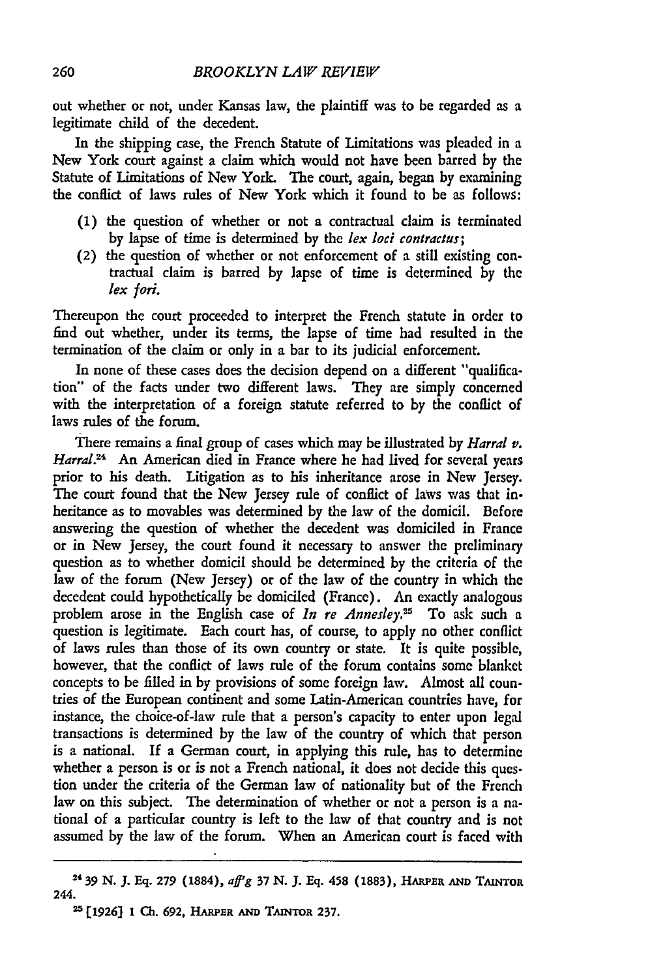out whether or not, under Kansas law, the plaintiff was to be regarded as a legitimate child of the decedent.

In the shipping case, the French Statute of Limitations was pleaded in a New York court against a claim which would not have been barred **by** the Statute of Limitations of New York. The court, again, began **by** examining the conflict of laws rules of New York which it found to be as follows:

- **(1)** the question of whether or not a contractual claim is terminated by lapse of time is determined **by** the lex loci contraclus;
- **(2)** the question of whether or not enforcement of a still existing contractual claim is barred by lapse of time is determined **by** the *lex Jori.*

Thereupon the court proceeded to interpret the French statute in order to find out whether, under its terms, the lapse of time had resulted in the termination of the claim or only in a bar to its judicial enforcement.

In none of these cases does the decision depend on a different "qualification" of the facts under two different laws. They are simply concerned with the interpretation of a foreign statute referred to by the conflict of laws rules of the forum.

There remains a final group of cases which may be illustrated by *Harral v. Harral.24* An American died in France where he had lived for several years prior to his death. Litigation as to his inheritance arose in New Jersey. The court found that the New Jersey rule of conflict of laws was that inheritance as to movables was determined by the law of the domicil. Before answering the question of whether the decedent was domiciled in France or in New Jersey, the court found it necessary to answer the preliminary question as to whether domicil should be determined by the criteria of the law of the forum (New Jersey) or of the law of the country in which the decedent could hypothetically be domiciled (France). An exactly analogous problem arose in the English case of *In re Annesley*.<sup>25</sup> To ask such a question is legitimate. Each court has, of course, to apply no other conflict of laws rules than those of its own country or state. It is quite possible, however, that the conflict of laws rule of the forum contains some blanket concepts to be filled in by provisions of some foreign law. Almost all countries of the European continent and some Latin-American countries have, for instance, the choice-of-law rule that a person's capacity to enter upon legal transactions is determined **by** the law of the country of which that person is a national. If a German court, in applying this rule, has to determine whether a person is or is not a French national, it does not decide this question under the criteria of the German law of nationality but of the French law on this subject. The determination of whether or not a person is a national of a particular country is left to the law of that country and is not assumed by the law of the forum. When an American court is faced with

**<sup>24</sup> 39 N. J. Eq. 279 (1884),** aff'g *37* **N. J. Eq. 458 (1883), HARPER AND** TAsNToa **244.**

<sup>2</sup> **[1926J 1 Ch. 692, HARPER AND TAiNTOR 237.**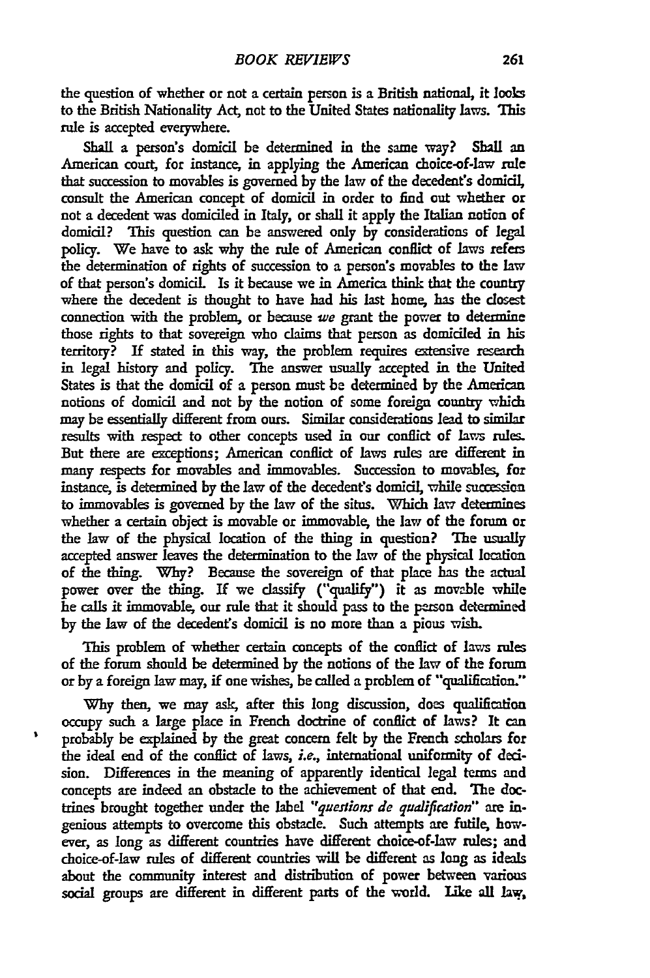the question of whether or not a certain person is a British national, it looks to the British Nationality Act, not to the United States nationality laws. This rule is accepted everywhere.

Shall a person's domicil be determined in the same way? Shall an American court, for instance, in applying the American choice-of-law rule that succession to movables is governed **by** the law of the decedent's domicil, consult the American concept of domicil in order to find out whether or not a decedent was domiciled in Italy, or shall it apply the Italian notion of domidil? This question can be answered only **by** considerations of legal policy. We have to ask why the rule of American conflict of laws refers the determination of rights of succession to a person's movables to the law of that person's domicil. Is it because we in America think that the country where the decedent is thought to have had his last home, has the closest connection with the problem, or because *we* grant the power to determine those rights to that sovereign who claims that person as domiciled in his territory? If stated in this way, the problem requires extensive research in legal history and policy. The answer usually accepted in the United States is that the domicil of a person must be determined **by** the American notions of domicil and not **by** the notion of some foreign country which may be essentially different from ours. Similar considerations lead to similar results with respect **to** other concepts used in **our** conflict of laws rules. But there are exceptions; American conflict of laws rules are different in many respects for movables and immovables. Succession to movables, for instance, is determined by the law of the decedent's domicil, while succession to immovables is governed **by** the law of the situs. Which law determines whether a certain object is movable or immovable, the law of the forum or the law of the physical location of the thing in question? The usually accepted answer leaves the determination to the law of the physical location of the thing. Why? Because the sovereign of that place has the actual power over the thing. **If** we classify ("qualify") it as movable while he calls it immovable, our rule that it should pass to the person determined **by** the law of the decedents domicil is no more than a pious wish.

This problem of whether certain concepts of the conflict of laws rules of the forum should be detemined **by** the notions of the law of the forum or **by** a foreign law may, if one wishes, **be** called a problem of "qualification."

**Why** then, we may ask, after this long discussion, does qualification occupy such a large place in French doctrine of conflict of laws? It can probably be explained **by** the great concern felt **by** the French scholars for the ideal end of the conflict of laws, *i.e.,* international uniformity of decision. Differences in the meaning of apparently identical legal terms and concepts are indeed an obstacle to the achievement of that end. **The** doctrines brought together under the label *"questions de qualification"* are ingenious attempts to overcome this obstacle. Such attempts are futile, however, as long as different countries have different choice-of-law rules; and choice-of-law rules of different countries will be different as long as ideals about the community interest and distribution of power between various social groups are different in different parts of the world. Like all law,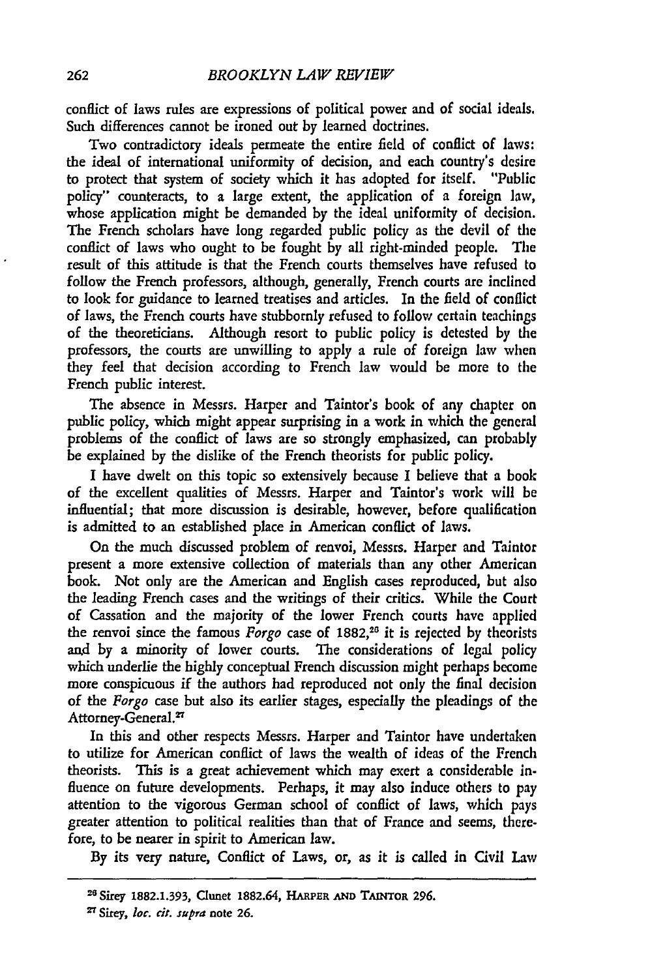conflict of laws rules are expressions of political power and of social ideals. Such differences cannot be ironed out by learned doctrines.

Two contradictory ideals permeate the entire field of conflict of laws: the ideal of international uniformity of decision, and each country's desire to protect that system of society which it has adopted for itself. "Public policy" counteracts, to a large extent, the application of a foreign law, whose application might be demanded by the ideal uniformity of decision. The French scholars have long regarded public policy as the devil of the conflict of laws who ought to be fought by all right-minded people. The result of this attitude is that the French courts themselves have refused to follow the French professors, although, generally, French courts are inclined to look for guidance to learned treatises and artides. In the field of conflict of laws, the French courts have stubbornly refused to follow certain teachings of the theoreticians. Although resort to public policy is detested by the professors, the courts are unwilling to apply a rule of foreign law when they feel that decision according to French law would be more to the French public interest.

The absence in Messrs. Harper and Taintor's book of any chapter on public policy, which might appear surprising in a work in which the general problems of the conflict of laws are so strongly emphasized, can probably be explained by the dislike of the French theorists for public policy.

I have dwelt on this topic so extensively because I believe that a book of the excellent qualities of Messrs. Harper and Taintor's work will be influential; that more discussion is desirable, however, before qualification is admitted to an established place in American conflict of laws.

On the much discussed problem of renvoi, Messrs. Harper and Taintor present a more extensive collection of materials than any other American book. Not only are the American and English cases reproduced, but also the leading French cases and the writings of their critics. While the Court of Cassation and the majority of the lower French courts have applied the renvoi since the famous *Forgo* case of 1882,<sup>26</sup> it is rejected by theorists **and** by a minority of lower courts. The considerations of legal policy which underlie the highly conceptual French discussion might perhaps become more conspicuous if the authors had reproduced not only the final decision of the *Forgo* case but also its earlier stages, especially the pleadings of the Attorney-General.<sup>27</sup>

In this and other respects Messrs. Harper and Taintor have undertaken to utilize for American conflict of laws the wealth of ideas of the French theorists. This is a great achievement which may exert a considerable influence on future developments. Perhaps, it may also induce others to pay attention to the vigorous German school of conflict of laws, which pays greater attention to political realities than that of France and seems, therefore, to be nearer in spirit to American law.

By its very nature, Conflict of Laws, or, as it is called in Civil Law

Sirey **1882.1.393,** Clunet 1882.64, **HARPER AND TMrOR 296. '** Sirey, *loc. cit. supra* note **26.**